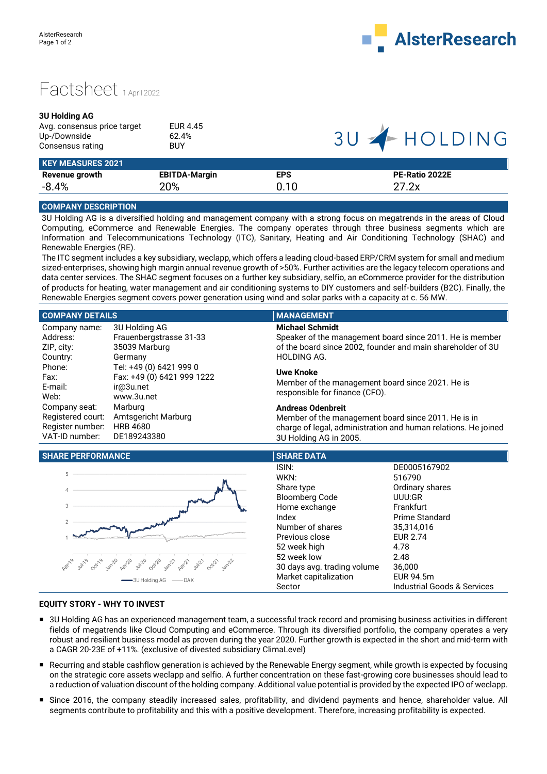



## **3U Holding AG**

| Avg. consensus price target | EUR 4.45 |  |
|-----------------------------|----------|--|
| Up-/Downside                | 62.4%    |  |
| Consensus rating            | BUY      |  |
| $\blacksquare$              |          |  |

**EBITDA-Margin**

20%

# $U = 1$ HOLDING

|                | <b>KEY MEASURES 2021</b> |
|----------------|--------------------------|
| Revenue growth |                          |

-8.4%

# **EPS** 0.10

**PE-Ratio 2022E** 27.2x

## **COMPANY DESCRIPTION**

3U Holding AG is a diversified holding and management company with a strong focus on megatrends in the areas of Cloud Computing, eCommerce and Renewable Energies. The company operates through three business segments which are Information and Telecommunications Technology (ITC), Sanitary, Heating and Air Conditioning Technology (SHAC) and Renewable Energies (RE).

The ITC segment includes a key subsidiary, weclapp, which offers a leading cloud-based ERP/CRM system for small and medium sized-enterprises, showing high margin annual revenue growth of >50%. Further activities are the legacy telecom operations and data center services. The SHAC segment focuses on a further key subsidiary, selfio, an eCommerce provider for the distribution of products for heating, water management and air conditioning systems to DIY customers and self-builders (B2C). Finally, the Renewable Energies segment covers power generation using wind and solar parks with a capacity at c. 56 MW.

### **COMPANY DETAILS MANAGEMENT** Company name: Address: ZIP, city: Country: Phone: Fax: E-mail: Web: Company seat: Registered court: Amtsgericht Marburg Register number: HRB 4680 VAT-ID number: 3U Holding AG Frauenbergstrasse 31-33 35039 Marburg Germany Tel: +49 (0) 6421 999 0 Fax: +49 (0) 6421 999 1222 ir@3u.net www.3u.net Marburg DE189243380 **Michael Schmidt** Speaker of the management board since 2011. He is member of the board since 2002, founder and main shareholder of 3U HOLDING AG. **Uwe Knoke** Member of the management board since 2021. He is responsible for finance (CFO). **Andreas Odenbreit** Member of the management board since 2011. He is in charge of legal, administration and human relations. He joined 3U Holding AG in 2005.

## **SHARE PERFORMANCE SHARE DATA**



| SHARE DATA                  |                                        |
|-----------------------------|----------------------------------------|
| ISIN:                       | DE0005167902                           |
| WKN:                        | 516790                                 |
| Share type                  | Ordinary shares                        |
| <b>Bloomberg Code</b>       | UUU:GR                                 |
| Home exchange               | Frankfurt                              |
| Index                       | Prime Standard                         |
| Number of shares            | 35,314,016                             |
| Previous close              | <b>EUR 2.74</b>                        |
| 52 week high                | 4.78                                   |
| 52 week low                 | 2.48                                   |
| 30 days avg. trading volume | 36,000                                 |
| Market capitalization       | EUR 94.5m                              |
| Sector                      | <b>Industrial Goods &amp; Services</b> |

## **EQUITY STORY - WHY TO INVEST**

- 3U Holding AG has an experienced management team, a successful track record and promising business activities in different fields of megatrends like Cloud Computing and eCommerce. Through its diversified portfolio, the company operates a very robust and resilient business model as proven during the year 2020. Further growth is expected in the short and mid-term with a CAGR 20-23E of +11%. (exclusive of divested subsidiary ClimaLevel)
- Recurring and stable cashflow generation is achieved by the Renewable Energy segment, while growth is expected by focusing on the strategic core assets weclapp and selfio. A further concentration on these fast-growing core businesses should lead to a reduction of valuation discount of the holding company. Additional value potential is provided by the expected IPO of weclapp.
- Since 2016, the company steadily increased sales, profitability, and dividend payments and hence, shareholder value. All segments contribute to profitability and this with a positive development. Therefore, increasing profitability is expected.